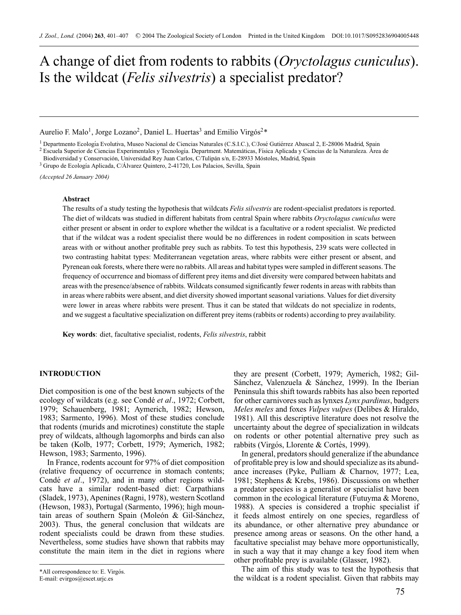# A change of diet from rodents to rabbits (*Oryctolagus cuniculus*). Is the wildcat (*Felis silvestris*) a specialist predator?

Aurelio F. Malo<sup>1</sup>, Jorge Lozano<sup>2</sup>, Daniel L. Huertas<sup>3</sup> and Emilio Virgós<sup>2\*</sup>

<sup>1</sup> Departmento Ecología Evolutiva, Museo Nacional de Ciencias Naturales (C.S.I.C.), C/José Gutiérrez Abascal 2, E-28006 Madrid, Spain<br><sup>2</sup> Escuela Superior de Ciencias Experimentales y Tecnología. Department. Matemáticas,

Biodiversidad y Conservación, Universidad Rey Juan Carlos, C/Tulipán s/n, E-28933 Móstoles, Madrid, Spain <sup>3</sup> Grupo de Ecología Aplicada, C/Álvarez Quintero, 2-41720, Los Palacios, Sevilla, Spain

*(Accepted 26 January 2004)*

# **Abstract**

The results of a study testing the hypothesis that wildcats *Felis silvestris* are rodent-specialist predators is reported. The diet of wildcats was studied in different habitats from central Spain where rabbits *Oryctolagus cuniculus* were either present or absent in order to explore whether the wildcat is a facultative or a rodent specialist. We predicted that if the wildcat was a rodent specialist there would be no differences in rodent composition in scats between areas with or without another profitable prey such as rabbits. To test this hypothesis, 239 scats were collected in two contrasting habitat types: Mediterranean vegetation areas, where rabbits were either present or absent, and Pyrenean oak forests, where there were no rabbits. All areas and habitat types were sampled in different seasons. The frequency of occurrence and biomass of different prey items and diet diversity were compared between habitats and areas with the presence/absence of rabbits. Wildcats consumed significantly fewer rodents in areas with rabbits than in areas where rabbits were absent, and diet diversity showed important seasonal variations. Values for diet diversity were lower in areas where rabbits were present. Thus it can be stated that wildcats do not specialize in rodents, and we suggest a facultative specialization on different prey items (rabbits or rodents) according to prey availability.

**Key words**: diet, facultative specialist, rodents, *Felis silvestris*, rabbit

# **INTRODUCTION**

Diet composition is one of the best known subjects of the ecology of wildcats (e.g. see Condé et al., 1972; Corbett, 1979; Schauenberg, 1981; Aymerich, 1982; Hewson, 1983; Sarmento, 1996). Most of these studies conclude that rodents (murids and microtines) constitute the staple prey of wildcats, although lagomorphs and birds can also be taken (Kolb, 1977; Corbett, 1979; Aymerich, 1982; Hewson, 1983; Sarmento, 1996).

In France, rodents account for 97% of diet composition (relative frequency of occurrence in stomach contents; Condé *et al.*, 1972), and in many other regions wildcats have a similar rodent-based diet: Carpathians (Sladek, 1973), Apenines (Ragni, 1978), western Scotland (Hewson, 1983), Portugal (Sarmento, 1996); high mountain areas of southern Spain (Moleón  $& Gil-Sánchez,$ 2003). Thus, the general conclusion that wildcats are rodent specialists could be drawn from these studies. Nevertheless, some studies have shown that rabbits may constitute the main item in the diet in regions where they are present (Corbett, 1979; Aymerich, 1982; Gil-Sánchez, Valenzuela & Sánchez, 1999). In the Iberian Peninsula this shift towards rabbits has also been reported for other carnivores such as lynxes *Lynx pardinus*, badgers *Meles meles* and foxes *Vulpes vulpes* (Delibes & Hiraldo, 1981). All this descriptive literature does not resolve the uncertainty about the degree of specialization in wildcats on rodents or other potential alternative prey such as rabbits (Virgós, Llorente & Cortés, 1999).

In general, predators should generalize if the abundance of profitable prey is low and should specialize as its abundance increases (Pyke, Pulliam & Charnov, 1977; Lea, 1981; Stephens & Krebs, 1986). Discussions on whether a predator species is a generalist or specialist have been common in the ecological literature (Futuyma & Moreno, 1988). A species is considered a trophic specialist if it feeds almost entirely on one species, regardless of its abundance, or other alternative prey abundance or presence among areas or seasons. On the other hand, a facultative specialist may behave more opportunistically, in such a way that it may change a key food item when other profitable prey is available (Glasser, 1982).

The aim of this study was to test the hypothesis that the wildcat is a rodent specialist. Given that rabbits may

<sup>\*</sup>All correspondence to: E. Virgós. E-mail: evirgos@escet.urjc.es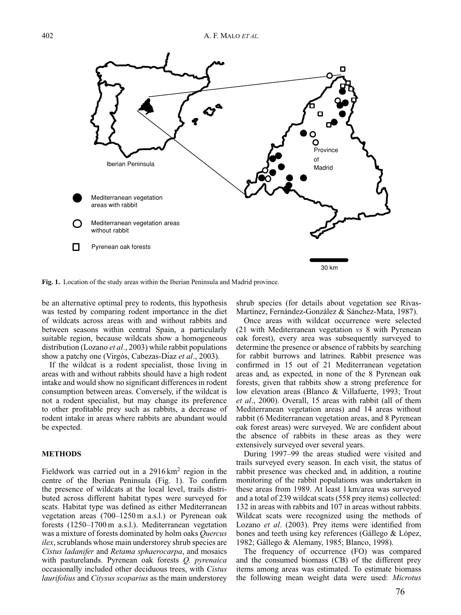

**Fig. 1.** Location of the study areas within the Iberian Peninsula and Madrid province.

be an alternative optimal prey to rodents, this hypothesis was tested by comparing rodent importance in the diet of wildcats across areas with and without rabbits and between seasons within central Spain, a particularly suitable region, because wildcats show a homogeneous distribution (Lozano *et al*., 2003) while rabbit populations show a patchy one (Virgós, Cabezas-Díaz *et al.*, 2003).

If the wildcat is a rodent specialist, those living in areas with and without rabbits should have a high rodent intake and would show no significant differences in rodent consumption between areas. Conversely, if the wildcat is not a rodent specialist, but may change its preference to other profitable prey such as rabbits, a decrease of rodent intake in areas where rabbits are abundant would be expected.

# **METHODS**

Fieldwork was carried out in a  $2916 \text{ km}^2$  region in the centre of the Iberian Peninsula (Fig. 1). To confirm the presence of wildcats at the local level, trails distributed across different habitat types were surveyed for scats. Habitat type was defined as either Mediterranean vegetation areas (700–1250 m a.s.l.) or Pyrenean oak forests (1250–1700 m a.s.l.). Mediterranean vegetation was a mixture of forests dominated by holm oaks *Quercus ilex*, scrublands whose main understorey shrub species are *Cistus ladanifer* and *Retama sphaerocarpa*, and mosaics with pasturelands. Pyrenean oak forests *Q. pyrenaica* occasionally included other deciduous trees, with *Cistus laurifolius* and *Citysus scoparius* as the main understorey shrub species (for details about vegetation see Rivas-Martínez, Fernández-González & Sánchez-Mata, 1987).

Once areas with wildcat occurrence were selected (21 with Mediterranean vegetation *vs* 8 with Pyrenean oak forest), every area was subsequently surveyed to determine the presence or absence of rabbits by searching for rabbit burrows and latrines. Rabbit presence was confirmed in 15 out of 21 Mediterranean vegetation areas and, as expected, in none of the 8 Pyrenean oak forests, given that rabbits show a strong preference for low elevation areas (Blanco & Villafuerte, 1993; Trout *et al*., 2000). Overall, 15 areas with rabbit (all of them Mediterranean vegetation areas) and 14 areas without rabbit (6 Mediterranean vegetation areas, and 8 Pyrenean oak forest areas) were surveyed. We are confident about the absence of rabbits in these areas as they were extensively surveyed over several years.

During 1997–99 the areas studied were visited and trails surveyed every season. In each visit, the status of rabbit presence was checked and, in addition, a routine monitoring of the rabbit populations was undertaken in these areas from 1989. At least 1 km/area was surveyed and a total of 239 wildcat scats (558 prey items) collected: 132 in areas with rabbits and 107 in areas without rabbits. Wildcat scats were recognized using the methods of Lozano *et al*. (2003). Prey items were identified from bones and teeth using key references (Gállego  $&$  López, 1982; Gallego & Alemany, 1985; Blanco, 1998). ´

The frequency of occurrence (FO) was compared and the consumed biomass (CB) of the different prey items among areas was estimated. To estimate biomass the following mean weight data were used: *Microtus*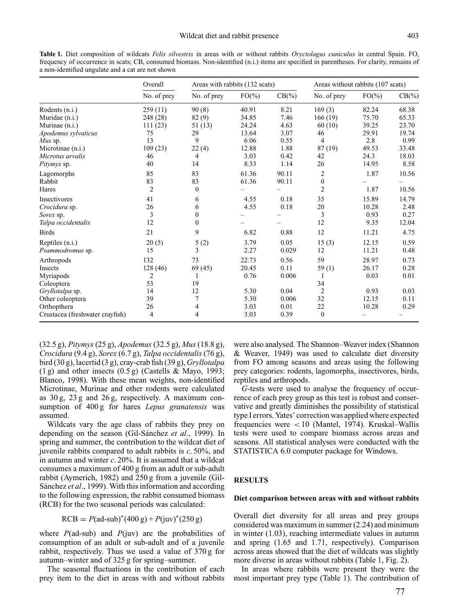**Table 1.** Diet composition of wildcats *Felis silvestris* in areas with or without rabbits *Oryctolagus cuniculus* in central Spain. FO, frequency of occurrence in scats; CB, consumed biomass. Non-identified (n.i.) items are specified in parentheses. For clarity, remains of a non-identified ungulate and a cat are not shown

|                                 | Overall<br>No. of prey | Areas with rabbits (132 scats) |           |           | Areas without rabbits (107 scats) |           |           |
|---------------------------------|------------------------|--------------------------------|-----------|-----------|-----------------------------------|-----------|-----------|
|                                 |                        | No. of prey                    | $FO(\% )$ | $CB(\% )$ | No. of prey                       | $FO(\% )$ | $CB(\% )$ |
| Rodents (n.i.)                  | 259(11)                | 90(8)                          | 40.91     | 8.21      | 169(3)                            | 82.24     | 68.38     |
| Muridae (n.i.)                  | 248 (28)               | 82(9)                          | 34.85     | 7.46      | 166(19)                           | 75.70     | 65.33     |
| Murinae (n.i.)                  | 111(23)                | 51 (13)                        | 24.24     | 4.63      | 60(10)                            | 39.25     | 23.70     |
| Apodemus sylvaticus             | 75                     | 29                             | 13.64     | 3.07      | 46                                | 29.91     | 19.74     |
| $Mus$ sp.                       | 13                     | 9                              | 6.06      | 0.55      | $\overline{4}$                    | 2.8       | 0.99      |
| Microtinae (n.i.)               | 109(23)                | 22(4)                          | 12.88     | 1.88      | 87 (19)                           | 49.53     | 33.48     |
| Microtus arvalis                | 46                     | 4                              | 3.03      | 0.42      | 42                                | 24.3      | 18.03     |
| <i>Pitymys</i> sp.              | 40                     | 14                             | 8.33      | 1.14      | 26                                | 14.95     | 8.58      |
| Lagomorphs                      | 85                     | 83                             | 61.36     | 90.11     | 2                                 | 1.87      | 10.56     |
| Rabbit                          | 83                     | 83                             | 61.36     | 90.11     | $\boldsymbol{0}$                  |           |           |
| Hares                           | $\overline{c}$         | $\theta$                       |           |           | $\overline{2}$                    | 1.87      | 10.56     |
| Insectivores                    | 41                     | 6                              | 4.55      | 0.18      | 35                                | 15.89     | 14.79     |
| Crocidura sp.                   | 26                     | 6                              | 4.55      | 0.18      | 20                                | 10.28     | 2.48      |
| Sorex sp.                       | 3                      | $\mathbf{0}$                   |           |           | 3                                 | 0.93      | 0.27      |
| Talpa occidentalis              | 12                     | $\mathbf{0}$                   |           |           | 12                                | 9.35      | 12.04     |
| <b>Birds</b>                    | 21                     | 9                              | 6.82      | 0.88      | 12                                | 11.21     | 4.75      |
| Reptiles (n.i.)                 | 20(5)                  | 5(2)                           | 3.79      | 0.05      | 15(3)                             | 12.15     | 0.59      |
| Psammodromus sp.                | 15                     | 3                              | 2.27      | 0.029     | 12                                | 11.21     | 0.48      |
| Arthropods                      | 132                    | 73                             | 22.73     | 0.56      | 59                                | 28.97     | 0.73      |
| Insects                         | 128 (46)               | 69(45)                         | 20.45     | 0.11      | 59(1)                             | 26.17     | 0.28      |
| Myriapods                       | 2                      |                                | 0.76      | 0.006     | $\mathbf{1}$                      | 0.03      | 0.01      |
| Coleoptera                      | 53                     | 19                             |           |           | 34                                |           |           |
| Gryllotalpa sp.                 | 14                     | 12                             | 5.30      | 0.04      | $\overline{2}$                    | 0.93      | 0.03      |
| Other coleoptera                | 39                     | 7                              | 5.30      | 0.006     | 32                                | 12.15     | 0.11      |
| Orthopthera                     | 26                     | 4                              | 3.03      | 0.01      | 22                                | 10.28     | 0.29      |
| Crustacea (freshwater crayfish) | 4                      | 4                              | 3.03      | 0.39      | $\theta$                          |           |           |

(32.5 g), *Pitymys* (25 g), *Apodemus* (32.5 g), *Mus* (18.8 g), *Crocidura* (9.4 g), *Sorex* (6.7 g), *Talpa occidentalis* (76 g), bird (30 g), lacertid (3 g), cray-crab fish (39 g), *Gryllotalpa*  $(1 g)$  and other insects  $(0.5 g)$  (Castells & Mayo, 1993; Blanco, 1998). With these mean weights, non-identified Microtinae, Murinae and other rodents were calculated as 30 g, 23 g and 26 g, respectively. A maximum consumption of 400 g for hares *Lepus granatensis* was assumed.

Wildcats vary the age class of rabbits they prey on depending on the season (Gil-Sánchez *et al.*, 1999). In spring and summer, the contribution to the wildcat diet of juvenile rabbits compared to adult rabbits is *c*. 50%, and in autumn and winter *c*. 20%. It is assumed that a wildcat consumes a maximum of 400 g from an adult or sub-adult rabbit (Aymerich, 1982) and 250 g from a juvenile (Gil-Sánchez et al., 1999). With this information and according to the following expression, the rabbit consumed biomass (RCB) for the two seasonal periods was calculated:

$$
RCB = P(ad - sub)^*(400 g) + P(juv)^*(250 g)
$$

where  $P$ (ad-sub) and  $P$ (juv) are the probabilities of consumption of an adult or sub-adult and of a juvenile rabbit, respectively. Thus we used a value of 370 g for autumn–winter and of 325 g for spring–summer.

The seasonal fluctuations in the contribution of each prey item to the diet in areas with and without rabbits were also analysed. The Shannon–Weaver index (Shannon & Weaver, 1949) was used to calculate diet diversity from FO among seasons and areas using the following prey categories: rodents, lagomorphs, insectivores, birds, reptiles and arthropods.

*G*-tests were used to analyse the frequency of occurrence of each prey group as this test is robust and conservative and greatly diminishes the possibility of statistical type I errors. Yates' correction was applied where expected frequencies were < 10 (Mantel, 1974). Kruskal–Wallis tests were used to compare biomass across areas and seasons. All statistical analyses were conducted with the STATISTICA 6.0 computer package for Windows.

# **RESULTS**

#### **Diet comparison between areas with and without rabbits**

Overall diet diversity for all areas and prey groups considered was maximum in summer (2.24) and minimum in winter (1.03), reaching intermediate values in autumn and spring (1.65 and 1.71, respectively). Comparison across areas showed that the diet of wildcats was slightly more diverse in areas without rabbits (Table 1, Fig. 2).

In areas where rabbits were present they were the most important prey type (Table 1). The contribution of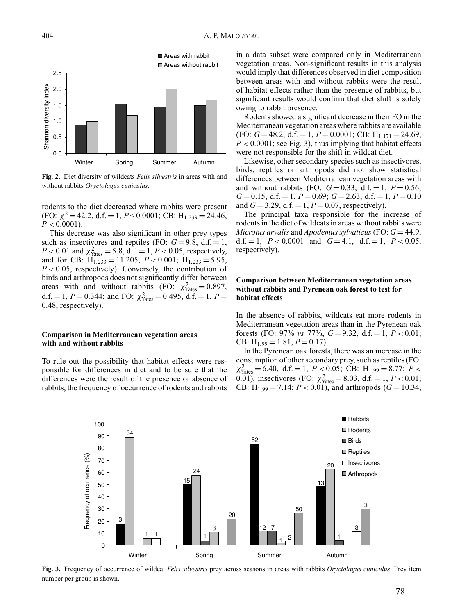

**Fig. 2.** Diet diversity of wildcats *Felis silvestris* in areas with and without rabbits *Oryctolagus cuniculus*.

rodents to the diet decreased where rabbits were present (FO:  $\chi^2$  = 42.2, d.f. = 1, *P* < 0.0001; CB: H<sub>1,233</sub> = 24.46,  $P < 0.0001$ ).

This decrease was also significant in other prey types such as insectivores and reptiles (FO:  $G = 9.8$ , d.f.  $= 1$ ,  $P < 0.01$  and  $\chi^2_{\text{Yates}} = 5.8$ , d.f. = 1,  $P < 0.05$ , respectively, and for CB:  $H_{1,233} = 11.205$ ,  $P < 0.001$ ;  $H_{1,233} = 5.95$ , *P* < 0.05, respectively). Conversely, the contribution of birds and arthropods does not significantly differ between areas with and without rabbits (FO:  $\chi^2_{\text{Yates}} = 0.897$ , d.f. = 1, *P* = 0.344; and FO:  $\chi^2_{\text{Yates}} = 0.495$ , d.f. = 1, *P* = 0.48, respectively).

## **Comparison in Mediterranean vegetation areas with and without rabbits**

To rule out the possibility that habitat effects were responsible for differences in diet and to be sure that the differences were the result of the presence or absence of rabbits, the frequency of occurrence of rodents and rabbits in a data subset were compared only in Mediterranean vegetation areas. Non-significant results in this analysis would imply that differences observed in diet composition between areas with and without rabbits were the result of habitat effects rather than the presence of rabbits, but significant results would confirm that diet shift is solely owing to rabbit presence.

Rodents showed a significant decrease in their FO in the Mediterranean vegetation areas where rabbits are available (FO: *G* = 48.2, d.f. = 1, *P* = 0.0001; CB: H<sub>1,171</sub> = 24.69,  $P < 0.0001$ ; see Fig. 3), thus implying that habitat effects were not responsible for the shift in wildcat diet.

Likewise, other secondary species such as insectivores, birds, reptiles or arthropods did not show statistical differences between Mediterranean vegetation areas with and without rabbits (FO:  $G = 0.33$ , d.f. = 1,  $P = 0.56$ ;  $G = 0.15$ , d.f.  $= 1$ ,  $P = 0.69$ ;  $G = 2.63$ , d.f.  $= 1$ ,  $P = 0.10$ and  $G = 3.29$ , d.f.  $= 1, P = 0.07$ , respectively).

The principal taxa responsible for the increase of rodents in the diet of wildcats in areas without rabbits were *Microtus arvalis* and *Apodemus sylvaticus* (FO:  $G = 44.9$ , d.f.  $= 1$ ,  $P < 0.0001$  and  $G = 4.1$ , d.f.  $= 1$ ,  $P < 0.05$ , respectively).

# **Comparison between Mediterranean vegetation areas without rabbits and Pyrenean oak forest to test for habitat effects**

In the absence of rabbits, wildcats eat more rodents in Mediterranean vegetation areas than in the Pyrenean oak forests (FO: 97% *vs* 77%,  $G = 9.32$ , d.f.  $= 1, P < 0.01$ ; CB:  $H_{1,99} = 1.81, P = 0.17$ .

In the Pyrenean oak forests, there was an increase in the consumption of other secondary prey, such as reptiles (FO:  $\chi^2_{\text{Yates}} = 6.40, \text{ d.f.} = 1, P < 0.05; \text{ CB: H}_{1,99} = 8.77; P <$ 0.01), insectivores (FO:  $\chi^2_{\text{Yates}} = 8.03$ , d.f. = 1, *P* < 0.01; CB: H<sub>1,99</sub> = 7.14;  $P < 0.01$ ), and arthropods ( $G = 10.34$ ,



**Fig. 3.** Frequency of occurrence of wildcat *Felis silvestris* prey across seasons in areas with rabbits *Oryctolagus cuniculus*. Prey item number per group is shown.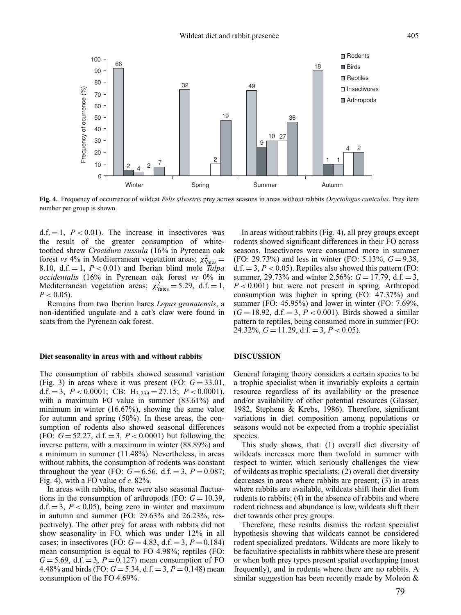

**Fig. 4.** Frequency of occurrence of wildcat *Felis silvestris* prey across seasons in areas without rabbits *Oryctolagus cuniculus*. Prey item number per group is shown.

 $d.f. = 1, P < 0.01$ . The increase in insectivores was the result of the greater consumption of whitetoothed shrew *Crocidura russula* (16% in Pyrenean oak forest *vs* 4% in Mediterranean vegetation areas;  $\chi^2_{\text{Yates}} =$ 8.10,  $d.f. = 1$ ,  $P < 0.01$ ) and Iberian blind mole *Talpa occidentalis* (16% in Pyrenean oak forest *vs* 0% in Mediterranean vegetation areas;  $\chi^2_{\text{Yates}} = 5.29$ , d.f. = 1,  $P < 0.05$ ).

Remains from two Iberian hares *Lepus granatensis*, a non-identified ungulate and a cat's claw were found in scats from the Pyrenean oak forest.

### **Diet seasonality in areas with and without rabbits**

The consumption of rabbits showed seasonal variation (Fig. 3) in areas where it was present (FO:  $G = 33.01$ , d.f. = 3, *P* < 0.0001; CB: H3,<sup>239</sup> = 27.15; *P* < 0.0001), with a maximum FO value in summer (83.61%) and minimum in winter (16.67%), showing the same value for autumn and spring (50%). In these areas, the consumption of rodents also showed seasonal differences (FO:  $G = 52.27$ , d.f.  $= 3$ ,  $P < 0.0001$ ) but following the inverse pattern, with a maximum in winter (88.89%) and a minimum in summer (11.48%). Nevertheless, in areas without rabbits, the consumption of rodents was constant throughout the year (FO:  $G = 6.56$ , d.f.  $= 3$ ,  $P = 0.087$ ; Fig. 4), with a FO value of *c*. 82%.

In areas with rabbits, there were also seasonal fluctuations in the consumption of arthropods (FO:  $G = 10.39$ , d.f.  $= 3$ ,  $P < 0.05$ ), being zero in winter and maximum in autumn and summer (FO: 29.63% and 26.23%, respectively). The other prey for areas with rabbits did not show seasonality in FO, which was under 12% in all cases; in insectivores (FO:  $G = 4.83$ , d.f.  $= 3$ ,  $P = 0.184$ ) mean consumption is equal to FO 4.98%; reptiles (FO:  $G = 5.69$ , d.f.  $= 3$ ,  $P = 0.127$ ) mean consumption of FO 4.48% and birds (FO:  $G = 5.34$ , d.f.  $= 3, P = 0.148$ ) mean consumption of the FO 4.69%.

In areas without rabbits (Fig. 4), all prey groups except rodents showed significant differences in their FO across seasons. Insectivores were consumed more in summer (FO: 29.73%) and less in winter (FO: 5.13%, *G* = 9.38,  $d.f. = 3, P < 0.05$ ). Reptiles also showed this pattern (FO: summer, 29.73% and winter 2.56%:  $G = 17.79$ , d.f.  $= 3$ , *P* < 0.001) but were not present in spring. Arthropod consumption was higher in spring (FO: 47.37%) and summer (FO: 45.95%) and lower in winter (FO: 7.69%,  $(G = 18.92, d.f. = 3, P < 0.001)$ . Birds showed a similar pattern to reptiles, being consumed more in summer (FO: 24.32%,  $G = 11.29$ , d.f.  $= 3, P < 0.05$ ).

### **DISCUSSION**

General foraging theory considers a certain species to be a trophic specialist when it invariably exploits a certain resource regardless of its availability or the presence and/or availability of other potential resources (Glasser, 1982, Stephens & Krebs, 1986). Therefore, significant variations in diet composition among populations or seasons would not be expected from a trophic specialist species.

This study shows, that: (1) overall diet diversity of wildcats increases more than twofold in summer with respect to winter, which seriously challenges the view of wildcats as trophic specialists; (2) overall diet diversity decreases in areas where rabbits are present; (3) in areas where rabbits are available, wildcats shift their diet from rodents to rabbits; (4) in the absence of rabbits and where rodent richness and abundance is low, wildcats shift their diet towards other prey groups.

Therefore, these results dismiss the rodent specialist hypothesis showing that wildcats cannot be considered rodent specialized predators. Wildcats are more likely to be facultative specialists in rabbits where these are present or when both prey types present spatial overlapping (most frequently), and in rodents where there are no rabbits. A similar suggestion has been recently made by Moleón  $\&$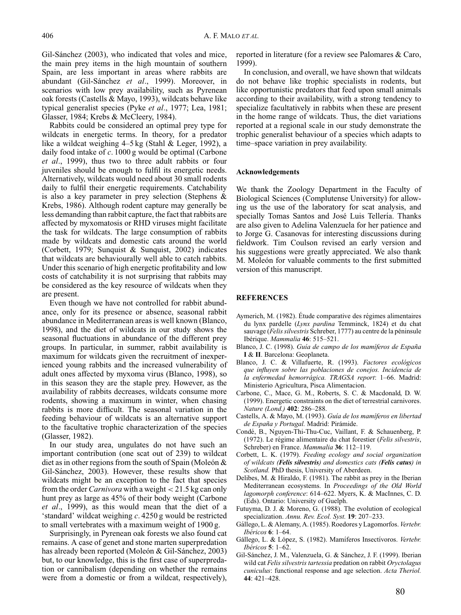Gil-Sánchez (2003), who indicated that voles and mice, the main prey items in the high mountain of southern Spain, are less important in areas where rabbits are abundant (Gil-Sánchez et al., 1999). Moreover, in scenarios with low prey availability, such as Pyrenean oak forests (Castells & Mayo, 1993), wildcats behave like typical generalist species (Pyke *et al*., 1977; Lea, 1981; Glasser, 1984; Krebs & McCleery, 1984).

Rabbits could be considered an optimal prey type for wildcats in energetic terms. In theory, for a predator like a wildcat weighing 4–5 kg (Stahl & Leger, 1992), a daily food intake of *c*. 1000 g would be optimal (Carbone *et al*., 1999), thus two to three adult rabbits or four juveniles should be enough to fulfil its energetic needs. Alternatively, wildcats would need about 30 small rodents daily to fulfil their energetic requirements. Catchability is also a key parameter in prey selection (Stephens & Krebs, 1986). Although rodent capture may generally be less demanding than rabbit capture, the fact that rabbits are affected by myxomatosis or RHD viruses might facilitate the task for wildcats. The large consumption of rabbits made by wildcats and domestic cats around the world (Corbett, 1979; Sunquist & Sunquist, 2002) indicates that wildcats are behaviourally well able to catch rabbits. Under this scenario of high energetic profitability and low costs of catchability it is not surprising that rabbits may be considered as the key resource of wildcats when they are present.

Even though we have not controlled for rabbit abundance, only for its presence or absence, seasonal rabbit abundance in Mediterranean areas is well known (Blanco, 1998), and the diet of wildcats in our study shows the seasonal fluctuations in abundance of the different prey groups. In particular, in summer, rabbit availability is maximum for wildcats given the recruitment of inexperienced young rabbits and the increased vulnerability of adult ones affected by myxoma virus (Blanco, 1998), so in this season they are the staple prey. However, as the availability of rabbits decreases, wildcats consume more rodents, showing a maximum in winter, when chasing rabbits is more difficult. The seasonal variation in the feeding behaviour of wildcats is an alternative support to the facultative trophic characterization of the species (Glasser, 1982).

In our study area, ungulates do not have such an important contribution (one scat out of 239) to wildcat diet as in other regions from the south of Spain (Moleón  $\&$ Gil-Sánchez, 2003). However, these results show that wildcats might be an exception to the fact that species from the order *Carnivora* with a weight < 21.5 kg can only hunt prey as large as 45% of their body weight (Carbone *et al*., 1999), as this would mean that the diet of a 'standard' wildcat weighing *c*. 4250 g would be restricted to small vertebrates with a maximum weight of 1900 g.

Surprisingly, in Pyrenean oak forests we also found cat remains. A case of genet and stone marten superpredation has already been reported (Moleón  $\&$  Gil-Sánchez, 2003) but, to our knowledge, this is the first case of superpredation or cannibalism (depending on whether the remains were from a domestic or from a wildcat, respectively), reported in literature (for a review see Palomares & Caro, 1999).

In conclusion, and overall, we have shown that wildcats do not behave like trophic specialists in rodents, but like opportunistic predators that feed upon small animals according to their availability, with a strong tendency to specialize facultatively in rabbits when these are present in the home range of wildcats. Thus, the diet variations reported at a regional scale in our study demonstrate the trophic generalist behaviour of a species which adapts to time–space variation in prey availability.

#### **Acknowledgements**

We thank the Zoology Department in the Faculty of Biological Sciences (Complutense University) for allowing us the use of the laboratory for scat analysis, and specially Tomas Santos and José Luis Tellería. Thanks are also given to Adelina Valenzuela for her patience and to Jorge G. Casanovas for interesting discussions during fieldwork. Tim Coulson revised an early version and his suggestions were greatly appreciated. We also thank M. Moleón for valuable comments to the first submitted version of this manuscript.

# **REFERENCES**

- Aymerich, M. (1982). Étude comparative des régimes alimentaires du lynx pardelle (*Lynx pardina* Temminck, 1824) et du chat sauvage (*Felis silvestris* Schreber, 1777) au centre de la péninsule Ibérique. *Mammalia* **46**: 515–521.
- Blanco, J. C. (1998). *Guía de campo de los mamíferos de España* **I** & **II**. Barcelona: Geoplaneta.
- Blanco, J. C. & Villafuerte, R. (1993). *Factores ecologicos ´ que influyen sobre las poblaciones de conejos. Incidencia de la enfermedad hemorragica. TRAGSA report ´* : 1–66. Madrid: Ministerio Agricultura, Pisca Alimentacion.
- Carbone, C., Mace, G. M., Roberts, S. C. & Macdonald, D. W. (1999). Energetic constraints on the diet of terrestrial carnivores. *Nature (Lond.)* **402**: 286–288.
- Castells, A. & Mayo, M. (1993). *Gu´ıa de los mam´ıferos en libertad de Espana y Portugal. ˜* Madrid: Piramide. ´
- Condé, B., Nguyen-Thi-Thu-Cuc, Vaillant, F. & Schauenberg, P. (1972). Le régime alimentaire du chat forestier (Felis silvestris, Schreber) en France. *Mammalia* **36**: 112–119.
- Corbett, L. K. (1979). *Feeding ecology and social organization of wildcats (Felis silvestris) and domestics cats (Felis catus) in Scotland.* PhD thesis, University of Aberdeen.
- Delibes, M. & Hiraldo, F. (1981). The rabbit as prey in the Iberian Mediterranean ecosystems. In *Proceedings of the Old World lagomorph conference*: 614–622. Myers, K. & MacInnes, C. D. (Eds). Ontario: University of Guelph.
- Futuyma, D. J. & Moreno, G. (1988). The evolution of ecological specialization. *Annu. Rev. Ecol. Syst.* **19**: 207–233.
- Gállego, L. & Alemany, A. (1985). Roedores y Lagomorfos. Vertebr. *Ibericos ´* **6**: 1–64.
- Gállego, L. & López, S. (1982). Mamíferos Insectívoros. Vertebr. *Ibericos ´* **5**: 1–62.
- Gil-Sánchez, J. M., Valenzuela, G. & Sánchez, J. F. (1999). Iberian wild cat *Felis silvestris tartessia* predation on rabbit *Oryctolagus cuniculus*: functional response and age selection. *Acta Theriol.* **44**: 421–428.